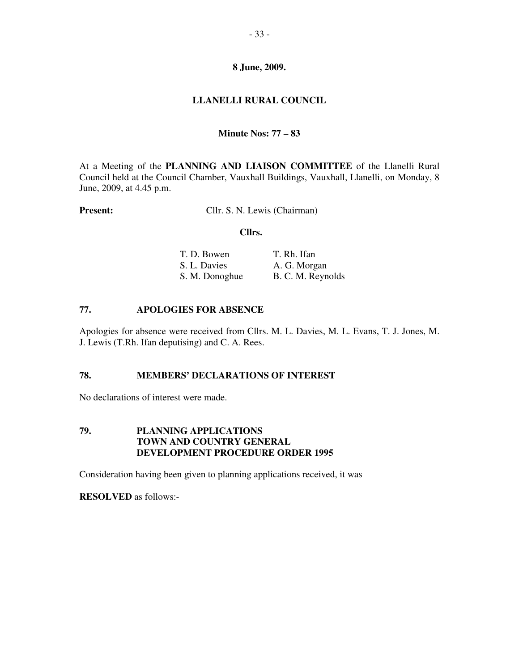# **LLANELLI RURAL COUNCIL**

# **Minute Nos: 77 – 83**

At a Meeting of the **PLANNING AND LIAISON COMMITTEE** of the Llanelli Rural Council held at the Council Chamber, Vauxhall Buildings, Vauxhall, Llanelli, on Monday, 8 June, 2009, at 4.45 p.m.

**Present:** Cllr. S. N. Lewis (Chairman)

#### **Cllrs.**

| T. D. Bowen    | T. Rh. Ifan       |
|----------------|-------------------|
| S. L. Davies   | A. G. Morgan      |
| S. M. Donoghue | B. C. M. Reynolds |

# **77. APOLOGIES FOR ABSENCE**

Apologies for absence were received from Cllrs. M. L. Davies, M. L. Evans, T. J. Jones, M. J. Lewis (T.Rh. Ifan deputising) and C. A. Rees.

## **78. MEMBERS' DECLARATIONS OF INTEREST**

No declarations of interest were made.

## **79. PLANNING APPLICATIONS TOWN AND COUNTRY GENERAL DEVELOPMENT PROCEDURE ORDER 1995**

Consideration having been given to planning applications received, it was

**RESOLVED** as follows:-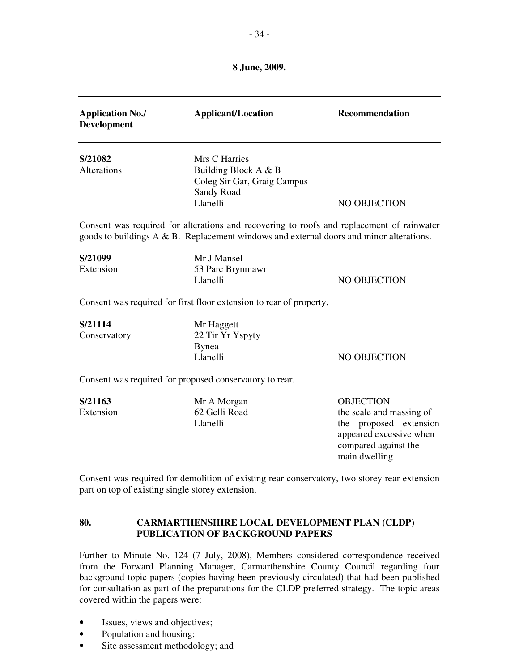| <b>Application No./</b><br><b>Development</b> | <b>Applicant/Location</b>                                                                                                                                                            | <b>Recommendation</b>                                                                                                                       |
|-----------------------------------------------|--------------------------------------------------------------------------------------------------------------------------------------------------------------------------------------|---------------------------------------------------------------------------------------------------------------------------------------------|
| S/21082<br>Alterations                        | Mrs C Harries<br>Building Block A & B<br>Coleg Sir Gar, Graig Campus<br>Sandy Road<br>Llanelli                                                                                       | NO OBJECTION                                                                                                                                |
|                                               | Consent was required for alterations and recovering to roofs and replacement of rainwater<br>goods to buildings A & B. Replacement windows and external doors and minor alterations. |                                                                                                                                             |
| S/21099<br>Extension                          | Mr J Mansel<br>53 Parc Brynmawr<br>Llanelli                                                                                                                                          | NO OBJECTION                                                                                                                                |
|                                               | Consent was required for first floor extension to rear of property.                                                                                                                  |                                                                                                                                             |
| S/21114<br>Conservatory                       | Mr Haggett<br>22 Tir Yr Yspyty<br><b>Bynea</b><br>Llanelli                                                                                                                           | NO OBJECTION                                                                                                                                |
|                                               | Consent was required for proposed conservatory to rear.                                                                                                                              |                                                                                                                                             |
| S/21163<br>Extension                          | Mr A Morgan<br>62 Gelli Road<br>Llanelli                                                                                                                                             | <b>OBJECTION</b><br>the scale and massing of<br>the proposed extension<br>appeared excessive when<br>compared against the<br>main dwelling. |
|                                               | Consent was required for demolition of existing rear conservatory, two storey rear extension<br>part on top of existing single storey extension.                                     |                                                                                                                                             |
| 80.                                           | <b>CARMARTHENSHIRE LOCAL DEVELOPMENT PLAN (CLDP)</b><br><b>PUBLICATION OF BACKGROUND PAPERS</b>                                                                                      |                                                                                                                                             |

Further to Minute No. 124 (7 July, 2008), Members considered correspondence received from the Forward Planning Manager, Carmarthenshire County Council regarding four background topic papers (copies having been previously circulated) that had been published for consultation as part of the preparations for the CLDP preferred strategy. The topic areas covered within the papers were:

- Issues, views and objectives;
- Population and housing;
- Site assessment methodology; and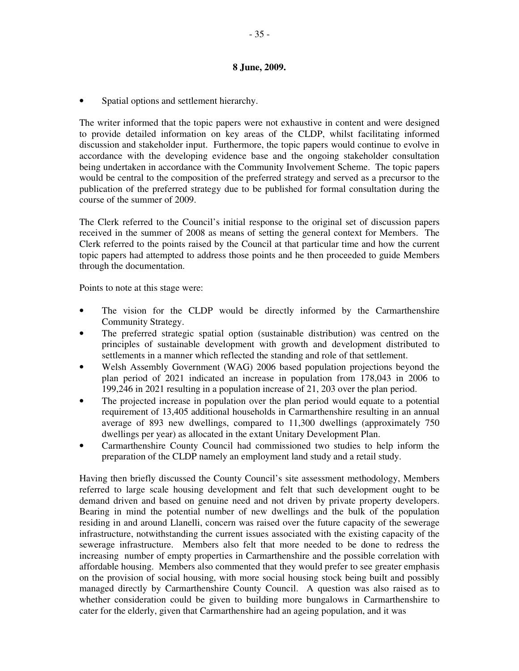• Spatial options and settlement hierarchy.

The writer informed that the topic papers were not exhaustive in content and were designed to provide detailed information on key areas of the CLDP, whilst facilitating informed discussion and stakeholder input. Furthermore, the topic papers would continue to evolve in accordance with the developing evidence base and the ongoing stakeholder consultation being undertaken in accordance with the Community Involvement Scheme. The topic papers would be central to the composition of the preferred strategy and served as a precursor to the publication of the preferred strategy due to be published for formal consultation during the course of the summer of 2009.

The Clerk referred to the Council's initial response to the original set of discussion papers received in the summer of 2008 as means of setting the general context for Members. The Clerk referred to the points raised by the Council at that particular time and how the current topic papers had attempted to address those points and he then proceeded to guide Members through the documentation.

Points to note at this stage were:

- The vision for the CLDP would be directly informed by the Carmarthenshire Community Strategy.
- The preferred strategic spatial option (sustainable distribution) was centred on the principles of sustainable development with growth and development distributed to settlements in a manner which reflected the standing and role of that settlement.
- Welsh Assembly Government (WAG) 2006 based population projections beyond the plan period of 2021 indicated an increase in population from 178,043 in 2006 to 199,246 in 2021 resulting in a population increase of 21, 203 over the plan period.
- The projected increase in population over the plan period would equate to a potential requirement of 13,405 additional households in Carmarthenshire resulting in an annual average of 893 new dwellings, compared to 11,300 dwellings (approximately 750 dwellings per year) as allocated in the extant Unitary Development Plan.
- Carmarthenshire County Council had commissioned two studies to help inform the preparation of the CLDP namely an employment land study and a retail study.

Having then briefly discussed the County Council's site assessment methodology, Members referred to large scale housing development and felt that such development ought to be demand driven and based on genuine need and not driven by private property developers. Bearing in mind the potential number of new dwellings and the bulk of the population residing in and around Llanelli, concern was raised over the future capacity of the sewerage infrastructure, notwithstanding the current issues associated with the existing capacity of the sewerage infrastructure. Members also felt that more needed to be done to redress the increasing number of empty properties in Carmarthenshire and the possible correlation with affordable housing. Members also commented that they would prefer to see greater emphasis on the provision of social housing, with more social housing stock being built and possibly managed directly by Carmarthenshire County Council. A question was also raised as to whether consideration could be given to building more bungalows in Carmarthenshire to cater for the elderly, given that Carmarthenshire had an ageing population, and it was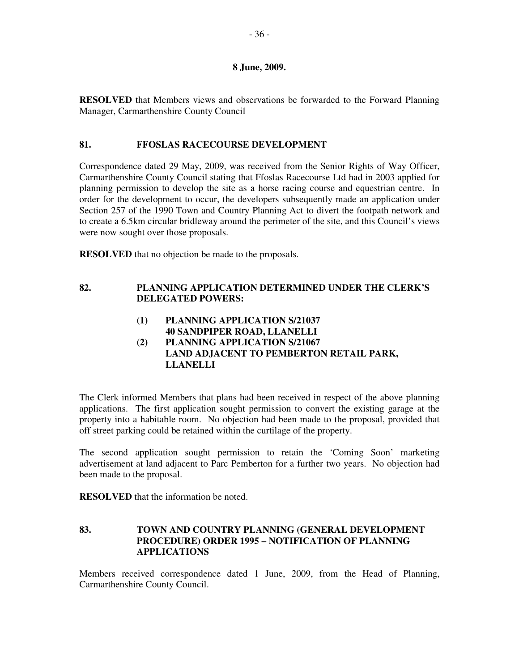**RESOLVED** that Members views and observations be forwarded to the Forward Planning Manager, Carmarthenshire County Council

# **81. FFOSLAS RACECOURSE DEVELOPMENT**

Correspondence dated 29 May, 2009, was received from the Senior Rights of Way Officer, Carmarthenshire County Council stating that Ffoslas Racecourse Ltd had in 2003 applied for planning permission to develop the site as a horse racing course and equestrian centre. In order for the development to occur, the developers subsequently made an application under Section 257 of the 1990 Town and Country Planning Act to divert the footpath network and to create a 6.5km circular bridleway around the perimeter of the site, and this Council's views were now sought over those proposals.

**RESOLVED** that no objection be made to the proposals.

# **82. PLANNING APPLICATION DETERMINED UNDER THE CLERK'S DELEGATED POWERS:**

- **(1) PLANNING APPLICATION S/21037 40 SANDPIPER ROAD, LLANELLI**
- **(2) PLANNING APPLICATION S/21067 LAND ADJACENT TO PEMBERTON RETAIL PARK, LLANELLI**

The Clerk informed Members that plans had been received in respect of the above planning applications. The first application sought permission to convert the existing garage at the property into a habitable room. No objection had been made to the proposal, provided that off street parking could be retained within the curtilage of the property.

The second application sought permission to retain the 'Coming Soon' marketing advertisement at land adjacent to Parc Pemberton for a further two years. No objection had been made to the proposal.

**RESOLVED** that the information be noted.

# **83. TOWN AND COUNTRY PLANNING (GENERAL DEVELOPMENT PROCEDURE) ORDER 1995 – NOTIFICATION OF PLANNING APPLICATIONS**

Members received correspondence dated 1 June, 2009, from the Head of Planning, Carmarthenshire County Council.